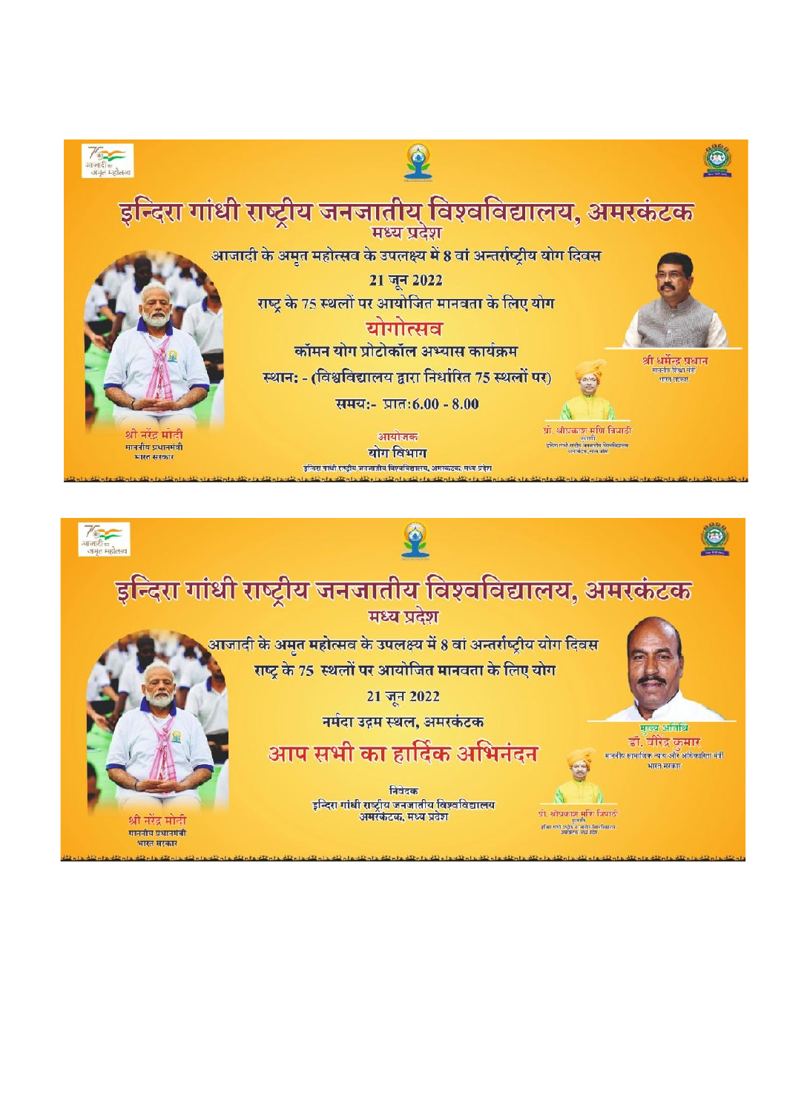

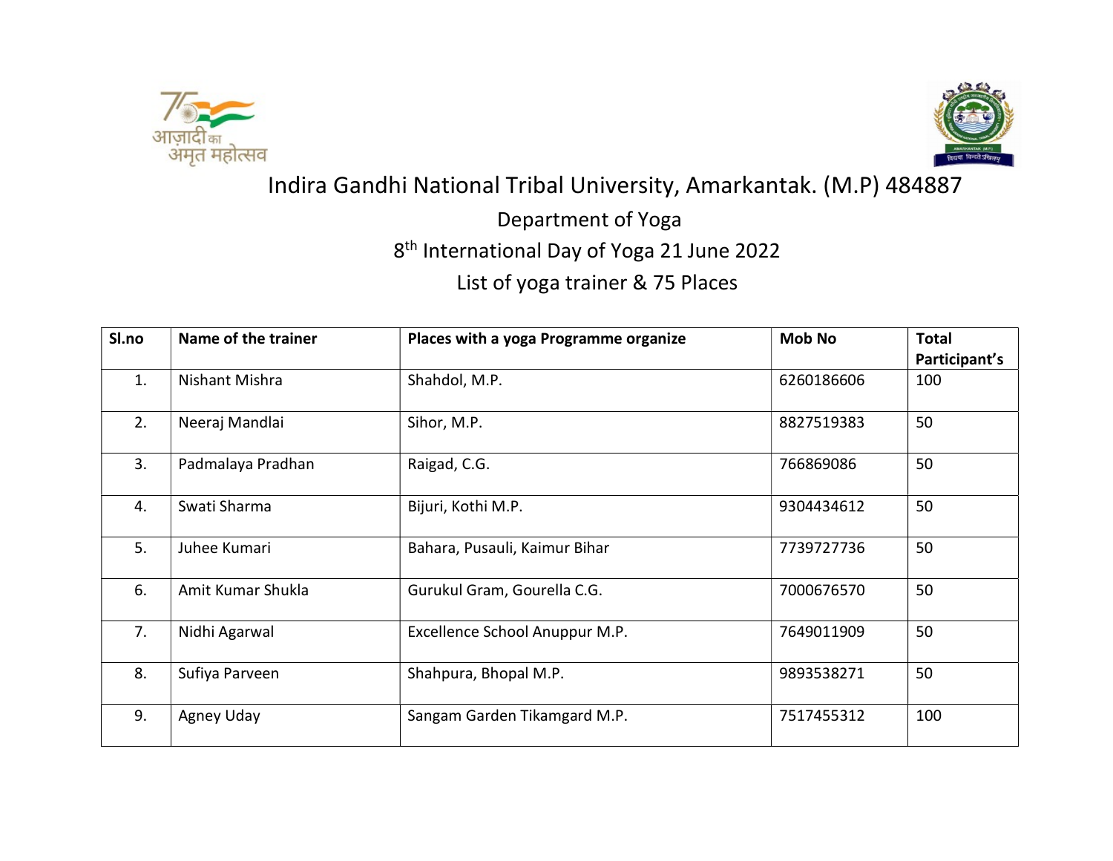



Indira Gandhi National Tribal University, Amarkantak. (M.P) 484887

Department of Yoga

8th International Day of Yoga 21 June 2022

List of yoga trainer & 75 Places

| Sl.no | Name of the trainer | Places with a yoga Programme organize | <b>Mob No</b> | <b>Total</b>  |
|-------|---------------------|---------------------------------------|---------------|---------------|
|       |                     |                                       |               | Participant's |
| 1.    | Nishant Mishra      | Shahdol, M.P.                         | 6260186606    | 100           |
| 2.    | Neeraj Mandlai      | Sihor, M.P.                           | 8827519383    | 50            |
| 3.    | Padmalaya Pradhan   | Raigad, C.G.                          | 766869086     | 50            |
| 4.    | Swati Sharma        | Bijuri, Kothi M.P.                    | 9304434612    | 50            |
| 5.    | Juhee Kumari        | Bahara, Pusauli, Kaimur Bihar         | 7739727736    | 50            |
| 6.    | Amit Kumar Shukla   | Gurukul Gram, Gourella C.G.           | 7000676570    | 50            |
| 7.    | Nidhi Agarwal       | Excellence School Anuppur M.P.        | 7649011909    | 50            |
| 8.    | Sufiya Parveen      | Shahpura, Bhopal M.P.                 | 9893538271    | 50            |
| 9.    | Agney Uday          | Sangam Garden Tikamgard M.P.          | 7517455312    | 100           |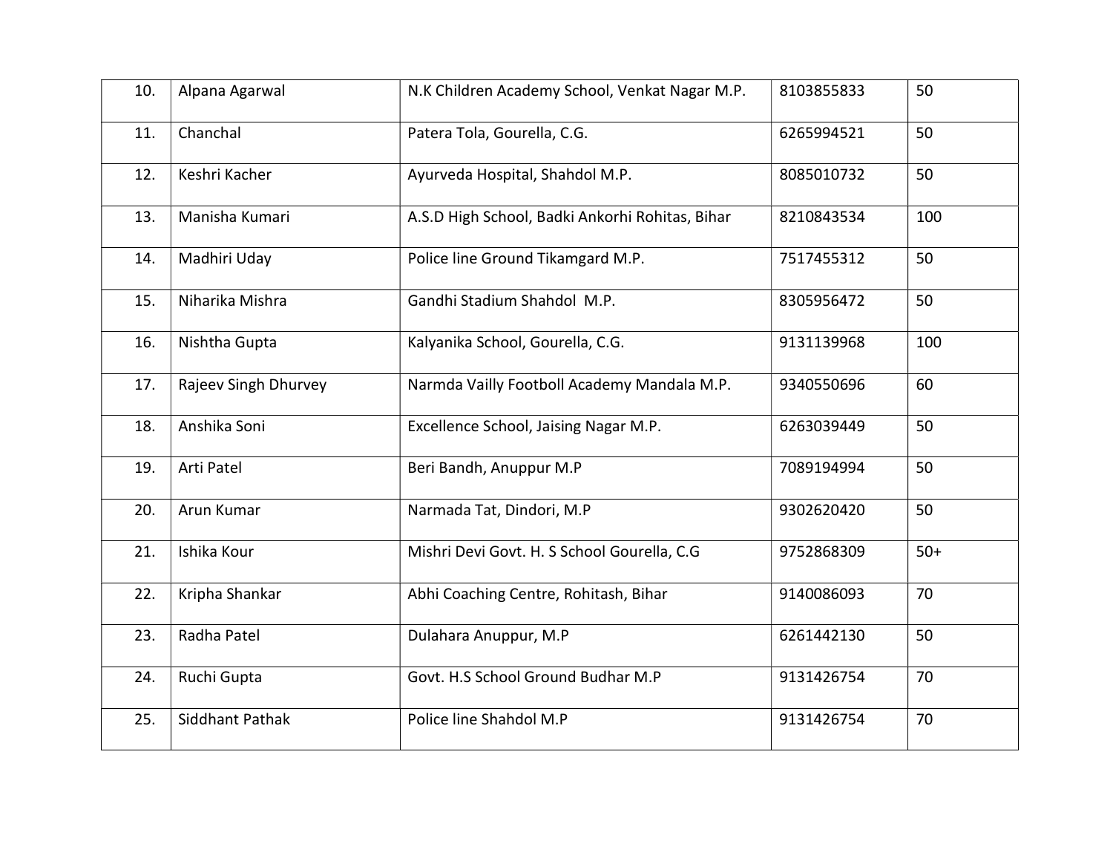| 10. | Alpana Agarwal       | N.K Children Academy School, Venkat Nagar M.P.  | 8103855833 | 50    |
|-----|----------------------|-------------------------------------------------|------------|-------|
| 11. | Chanchal             | Patera Tola, Gourella, C.G.                     | 6265994521 | 50    |
| 12. | Keshri Kacher        | Ayurveda Hospital, Shahdol M.P.                 | 8085010732 | 50    |
| 13. | Manisha Kumari       | A.S.D High School, Badki Ankorhi Rohitas, Bihar | 8210843534 | 100   |
| 14. | Madhiri Uday         | Police line Ground Tikamgard M.P.               | 7517455312 | 50    |
| 15. | Niharika Mishra      | Gandhi Stadium Shahdol M.P.                     | 8305956472 | 50    |
| 16. | Nishtha Gupta        | Kalyanika School, Gourella, C.G.                | 9131139968 | 100   |
| 17. | Rajeev Singh Dhurvey | Narmda Vailly Footboll Academy Mandala M.P.     | 9340550696 | 60    |
| 18. | Anshika Soni         | Excellence School, Jaising Nagar M.P.           | 6263039449 | 50    |
| 19. | Arti Patel           | Beri Bandh, Anuppur M.P                         | 7089194994 | 50    |
| 20. | Arun Kumar           | Narmada Tat, Dindori, M.P                       | 9302620420 | 50    |
| 21. | Ishika Kour          | Mishri Devi Govt. H. S School Gourella, C.G     | 9752868309 | $50+$ |
| 22. | Kripha Shankar       | Abhi Coaching Centre, Rohitash, Bihar           | 9140086093 | 70    |
| 23. | Radha Patel          | Dulahara Anuppur, M.P                           | 6261442130 | 50    |
| 24. | Ruchi Gupta          | Govt. H.S School Ground Budhar M.P              | 9131426754 | 70    |
| 25. | Siddhant Pathak      | Police line Shahdol M.P                         | 9131426754 | 70    |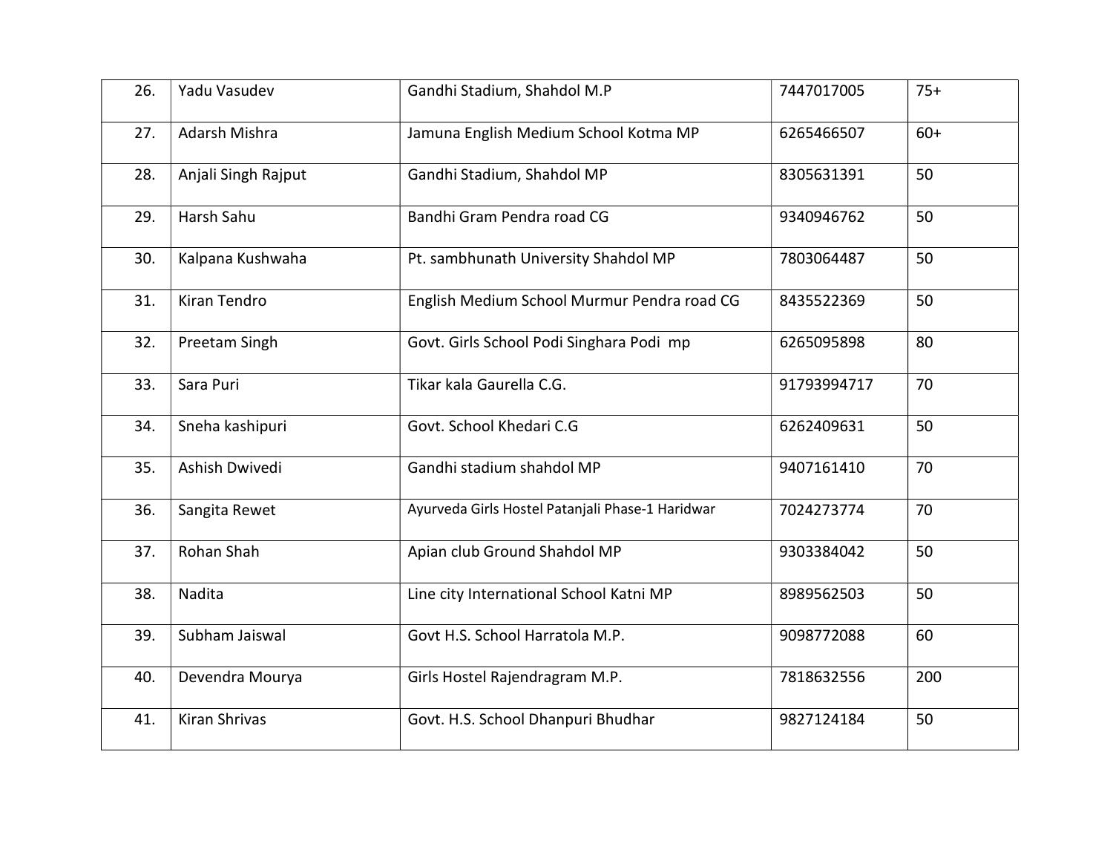| 26. | Yadu Vasudev        | Gandhi Stadium, Shahdol M.P                      | 7447017005  | $75+$ |
|-----|---------------------|--------------------------------------------------|-------------|-------|
| 27. | Adarsh Mishra       | Jamuna English Medium School Kotma MP            | 6265466507  | $60+$ |
| 28. | Anjali Singh Rajput | Gandhi Stadium, Shahdol MP                       | 8305631391  | 50    |
| 29. | Harsh Sahu          | Bandhi Gram Pendra road CG                       | 9340946762  | 50    |
| 30. | Kalpana Kushwaha    | Pt. sambhunath University Shahdol MP             | 7803064487  | 50    |
| 31. | Kiran Tendro        | English Medium School Murmur Pendra road CG      | 8435522369  | 50    |
| 32. | Preetam Singh       | Govt. Girls School Podi Singhara Podi mp         | 6265095898  | 80    |
| 33. | Sara Puri           | Tikar kala Gaurella C.G.                         | 91793994717 | 70    |
| 34. | Sneha kashipuri     | Govt. School Khedari C.G                         | 6262409631  | 50    |
| 35. | Ashish Dwivedi      | Gandhi stadium shahdol MP                        | 9407161410  | 70    |
| 36. | Sangita Rewet       | Ayurveda Girls Hostel Patanjali Phase-1 Haridwar | 7024273774  | 70    |
| 37. | Rohan Shah          | Apian club Ground Shahdol MP                     | 9303384042  | 50    |
| 38. | Nadita              | Line city International School Katni MP          | 8989562503  | 50    |
| 39. | Subham Jaiswal      | Govt H.S. School Harratola M.P.                  | 9098772088  | 60    |
| 40. | Devendra Mourya     | Girls Hostel Rajendragram M.P.                   | 7818632556  | 200   |
| 41. | Kiran Shrivas       | Govt. H.S. School Dhanpuri Bhudhar               | 9827124184  | 50    |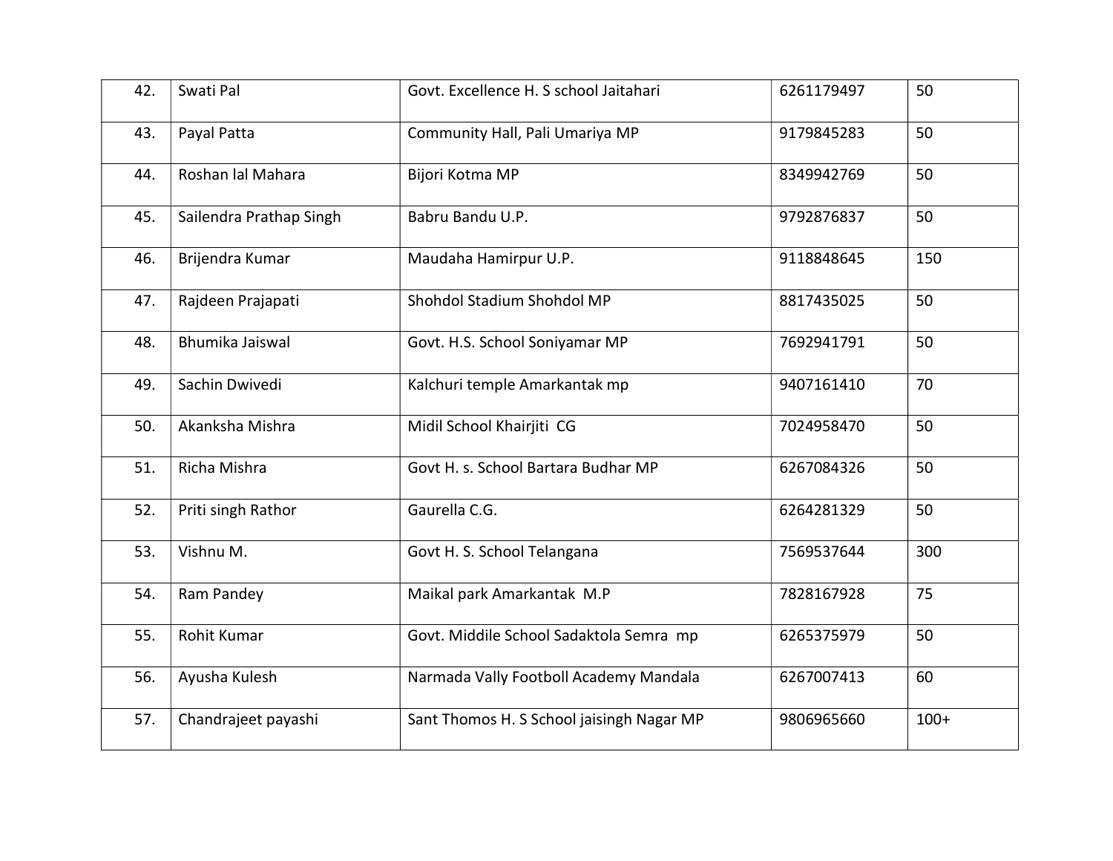| 42. | Swati Pal               | Govt. Excellence H. S school Jaitahari    | 6261179497 | 50     |
|-----|-------------------------|-------------------------------------------|------------|--------|
| 43. | Payal Patta             | Community Hall, Pali Umariya MP           | 9179845283 | 50     |
| 44. | Roshan lal Mahara       | Bijori Kotma MP                           | 8349942769 | 50     |
| 45. | Sailendra Prathap Singh | Babru Bandu U.P.                          | 9792876837 | 50     |
| 46. | Brijendra Kumar         | Maudaha Hamirpur U.P.                     | 9118848645 | 150    |
| 47. | Rajdeen Prajapati       | Shohdol Stadium Shohdol MP                | 8817435025 | 50     |
| 48. | Bhumika Jaiswal         | Govt. H.S. School Soniyamar MP            | 7692941791 | 50     |
| 49. | Sachin Dwivedi          | Kalchuri temple Amarkantak mp             | 9407161410 | 70     |
| 50. | Akanksha Mishra         | Midil School Khairjiti CG                 | 7024958470 | 50     |
| 51. | Richa Mishra            | Govt H. s. School Bartara Budhar MP       | 6267084326 | 50     |
| 52. | Priti singh Rathor      | Gaurella C.G.                             | 6264281329 | 50     |
| 53. | Vishnu M.               | Govt H. S. School Telangana               | 7569537644 | 300    |
| 54. | Ram Pandey              | Maikal park Amarkantak M.P                | 7828167928 | 75     |
| 55. | Rohit Kumar             | Govt. Middile School Sadaktola Semra mp   | 6265375979 | 50     |
| 56. | Ayusha Kulesh           | Narmada Vally Footboll Academy Mandala    | 6267007413 | 60     |
| 57. | Chandrajeet payashi     | Sant Thomos H. S School jaisingh Nagar MP | 9806965660 | $100+$ |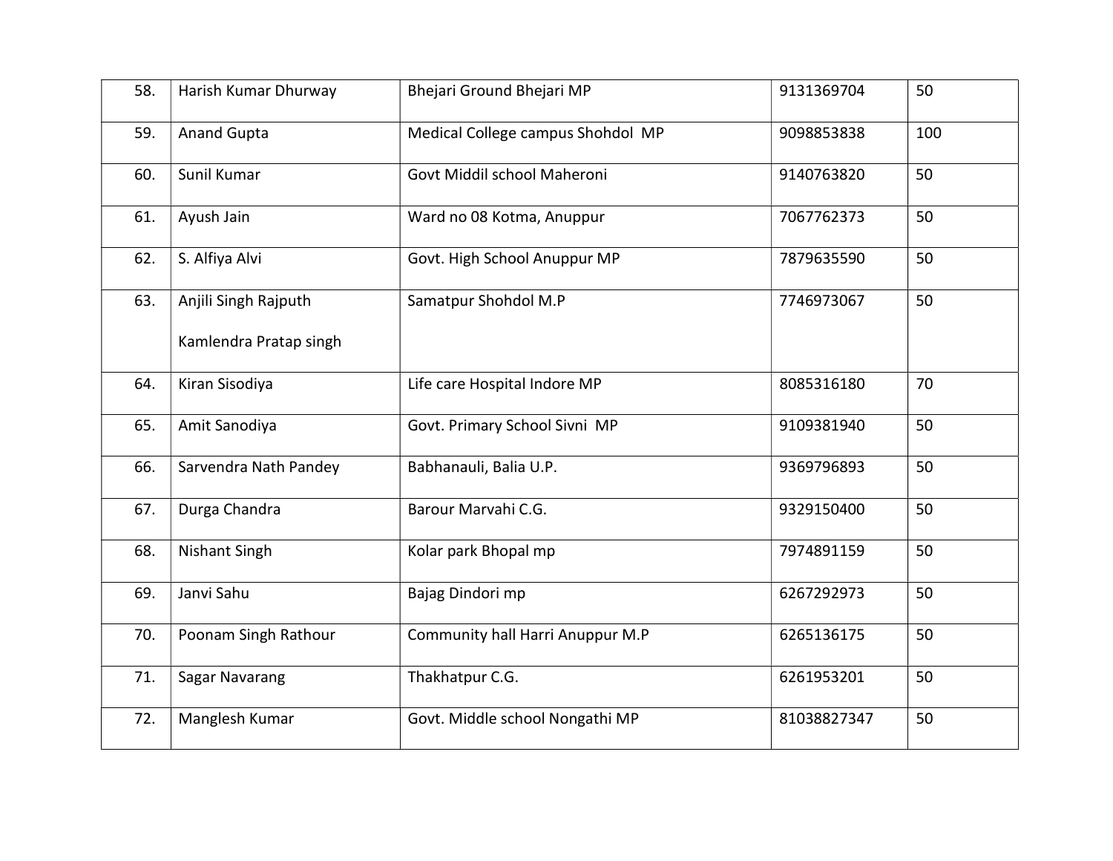| 58. | Harish Kumar Dhurway   | Bhejari Ground Bhejari MP         | 9131369704  | 50  |
|-----|------------------------|-----------------------------------|-------------|-----|
| 59. | <b>Anand Gupta</b>     | Medical College campus Shohdol MP | 9098853838  | 100 |
| 60. | Sunil Kumar            | Govt Middil school Maheroni       | 9140763820  | 50  |
| 61. | Ayush Jain             | Ward no 08 Kotma, Anuppur         | 7067762373  | 50  |
| 62. | S. Alfiya Alvi         | Govt. High School Anuppur MP      | 7879635590  | 50  |
| 63. | Anjili Singh Rajputh   | Samatpur Shohdol M.P              | 7746973067  | 50  |
|     | Kamlendra Pratap singh |                                   |             |     |
| 64. | Kiran Sisodiya         | Life care Hospital Indore MP      | 8085316180  | 70  |
| 65. | Amit Sanodiya          | Govt. Primary School Sivni MP     | 9109381940  | 50  |
| 66. | Sarvendra Nath Pandey  | Babhanauli, Balia U.P.            | 9369796893  | 50  |
| 67. | Durga Chandra          | Barour Marvahi C.G.               | 9329150400  | 50  |
| 68. | Nishant Singh          | Kolar park Bhopal mp              | 7974891159  | 50  |
| 69. | Janvi Sahu             | Bajag Dindori mp                  | 6267292973  | 50  |
| 70. | Poonam Singh Rathour   | Community hall Harri Anuppur M.P  | 6265136175  | 50  |
| 71. | Sagar Navarang         | Thakhatpur C.G.                   | 6261953201  | 50  |
| 72. | Manglesh Kumar         | Govt. Middle school Nongathi MP   | 81038827347 | 50  |